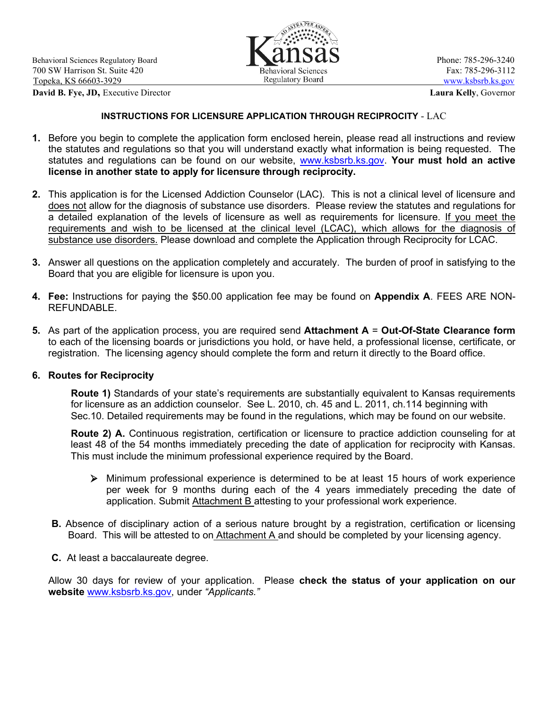**David B. Fye, JD,** Executive Director **Laura Kelly**, Governor



#### **INSTRUCTIONS FOR LICENSURE APPLICATION THROUGH RECIPROCITY** - LAC

- **1.** Before you begin to complete the application form enclosed herein, please read all instructions and review the statutes and regulations so that you will understand exactly what information is being requested. The statutes and regulations can be found on our website, [www.ksbsrb.ks.gov.](http://www.ksbsrb.ks.gov/) **Your must hold an active license in another state to apply for licensure through reciprocity.**
- **2.** This application is for the Licensed Addiction Counselor (LAC). This is not a clinical level of licensure and does not allow for the diagnosis of substance use disorders. Please review the statutes and regulations for a detailed explanation of the levels of licensure as well as requirements for licensure. If you meet the requirements and wish to be licensed at the clinical level (LCAC), which allows for the diagnosis of substance use disorders. Please download and complete the Application through Reciprocity for LCAC.
- **3.** Answer all questions on the application completely and accurately. The burden of proof in satisfying to the Board that you are eligible for licensure is upon you.
- **4. Fee:** Instructions for paying the \$50.00 application fee may be found on **Appendix A**. FEES ARE NON-REFUNDABLE.
- **5.** As part of the application process, you are required send **Attachment A** = **Out-Of-State Clearance form** to each of the licensing boards or jurisdictions you hold, or have held, a professional license, certificate, or registration. The licensing agency should complete the form and return it directly to the Board office.

#### **6. Routes for Reciprocity**

**Route 1)** Standards of your state's requirements are substantially equivalent to Kansas requirements for licensure as an addiction counselor. See L. 2010, ch. 45 and L. 2011, ch.114 beginning with Sec.10. Detailed requirements may be found in the regulations, which may be found on our website.

**Route 2) A.** Continuous registration, certification or licensure to practice addiction counseling for at least 48 of the 54 months immediately preceding the date of application for reciprocity with Kansas. This must include the minimum professional experience required by the Board.

- $\triangleright$  Minimum professional experience is determined to be at least 15 hours of work experience per week for 9 months during each of the 4 years immediately preceding the date of application. Submit Attachment B attesting to your professional work experience.
- **B.** Absence of disciplinary action of a serious nature brought by a registration, certification or licensing Board. This will be attested to on Attachment A and should be completed by your licensing agency.
- **C.** At least a baccalaureate degree.

Allow 30 days for review of your application. Please **check the status of your application on our website** [www.ksbsrb.ks.gov,](http://www.ksbsrb.ks.gov/) under *"Applicants."*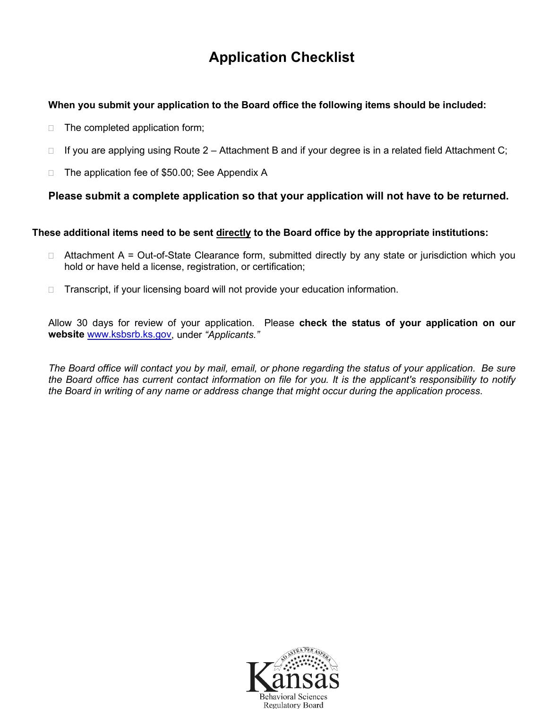## **Application Checklist**

## **When you submit your application to the Board office the following items should be included:**

- $\Box$  The completed application form;
- $\Box$  If you are applying using Route 2 Attachment B and if your degree is in a related field Attachment C;
- □ The application fee of \$50.00; See Appendix A

## **Please submit a complete application so that your application will not have to be returned.**

## **These additional items need to be sent directly to the Board office by the appropriate institutions:**

- $\Box$  Attachment A = Out-of-State Clearance form, submitted directly by any state or jurisdiction which you hold or have held a license, registration, or certification;
- □ Transcript, if your licensing board will not provide your education information.

Allow 30 days for review of your application. Please **check the status of your application on our website** [www.ksbsrb.ks.gov,](http://www.ksbsrb.ks.gov/) under *"Applicants."*

*The Board office will contact you by mail, email, or phone regarding the status of your application. Be sure the Board office has current contact information on file for you. It is the applicant's responsibility to notify the Board in writing of any name or address change that might occur during the application process*.

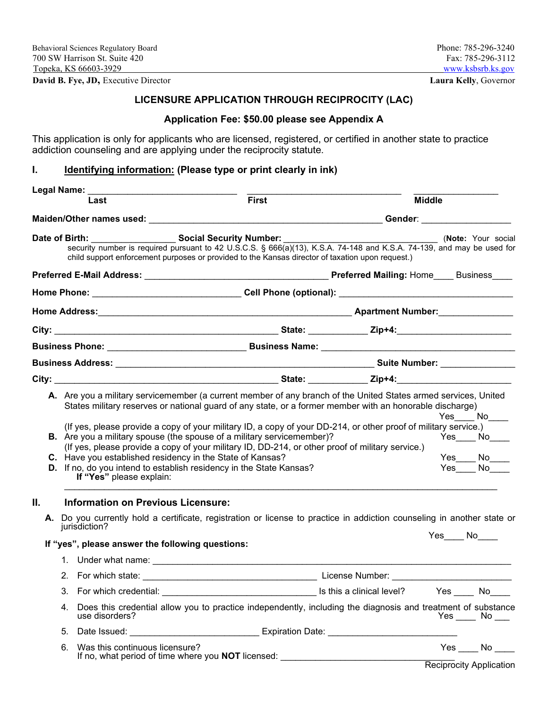**David B. Fye, JD,** Executive Director **Laura Kelly**, Governor

## **LICENSURE APPLICATION THROUGH RECIPROCITY (LAC)**

## **Application Fee: \$50.00 please see Appendix A**

This application is only for applicants who are licensed, registered, or certified in another state to practice addiction counseling and are applying under the reciprocity statute.

## **I. Identifying information: (Please type or print clearly in ink)**

| Legal Name: _ | Last                                                                                                                                                         | <b>First</b>                                                                                                                                                                                                                                                                                  | <b>Middle</b>      |                                                             |  |
|---------------|--------------------------------------------------------------------------------------------------------------------------------------------------------------|-----------------------------------------------------------------------------------------------------------------------------------------------------------------------------------------------------------------------------------------------------------------------------------------------|--------------------|-------------------------------------------------------------|--|
|               |                                                                                                                                                              |                                                                                                                                                                                                                                                                                               |                    |                                                             |  |
|               | Date of Birth: Social Security Number:                                                                                                                       | security number is required pursuant to 42 U.S.C.S. § 666(a)(13), K.S.A. 74-148 and K.S.A. 74-139, and may be used for<br>child support enforcement purposes or provided to the Kansas director of taxation upon request.)                                                                    | (Note: Your social |                                                             |  |
|               |                                                                                                                                                              |                                                                                                                                                                                                                                                                                               |                    |                                                             |  |
|               |                                                                                                                                                              |                                                                                                                                                                                                                                                                                               |                    |                                                             |  |
|               |                                                                                                                                                              |                                                                                                                                                                                                                                                                                               |                    |                                                             |  |
|               |                                                                                                                                                              |                                                                                                                                                                                                                                                                                               |                    |                                                             |  |
|               |                                                                                                                                                              |                                                                                                                                                                                                                                                                                               |                    |                                                             |  |
|               |                                                                                                                                                              |                                                                                                                                                                                                                                                                                               |                    |                                                             |  |
|               |                                                                                                                                                              |                                                                                                                                                                                                                                                                                               |                    |                                                             |  |
|               | C. Have you established residency in the State of Kansas?<br>D. If no, do you intend to establish residency in the State Kansas?<br>If "Yes" please explain: | (If yes, please provide a copy of your military ID, a copy of your DD-214, or other proof of military service.)<br>B. Are you a military spouse (the spouse of a military servicemember)?<br>(If yes, please provide a copy of your military ID, DD-214, or other proof of military service.) |                    | $Yes$ No<br>$Yes$ No<br>$Yes$ $No$ $\overline{\phantom{a}}$ |  |
| Ш.            | <b>Information on Previous Licensure:</b>                                                                                                                    |                                                                                                                                                                                                                                                                                               |                    |                                                             |  |
|               | jurisdiction?                                                                                                                                                | A. Do you currently hold a certificate, registration or license to practice in addiction counseling in another state or                                                                                                                                                                       | $Yes$ No $N$       |                                                             |  |
|               | If "yes", please answer the following questions:                                                                                                             |                                                                                                                                                                                                                                                                                               |                    |                                                             |  |
|               |                                                                                                                                                              |                                                                                                                                                                                                                                                                                               |                    |                                                             |  |
|               |                                                                                                                                                              |                                                                                                                                                                                                                                                                                               |                    |                                                             |  |
|               |                                                                                                                                                              |                                                                                                                                                                                                                                                                                               |                    |                                                             |  |
|               | use disorders?                                                                                                                                               | Does this credential allow you to practice independently, including the diagnosis and treatment of substance                                                                                                                                                                                  |                    | $Yes$ No $\_\_$                                             |  |
|               | 5.                                                                                                                                                           | Date Issued: __________________________________ Expiration Date: ___________________________________                                                                                                                                                                                          |                    |                                                             |  |
|               | 6. Was this continuous licensure?                                                                                                                            |                                                                                                                                                                                                                                                                                               |                    | $Yes$ No $\_\_$                                             |  |
|               |                                                                                                                                                              |                                                                                                                                                                                                                                                                                               |                    |                                                             |  |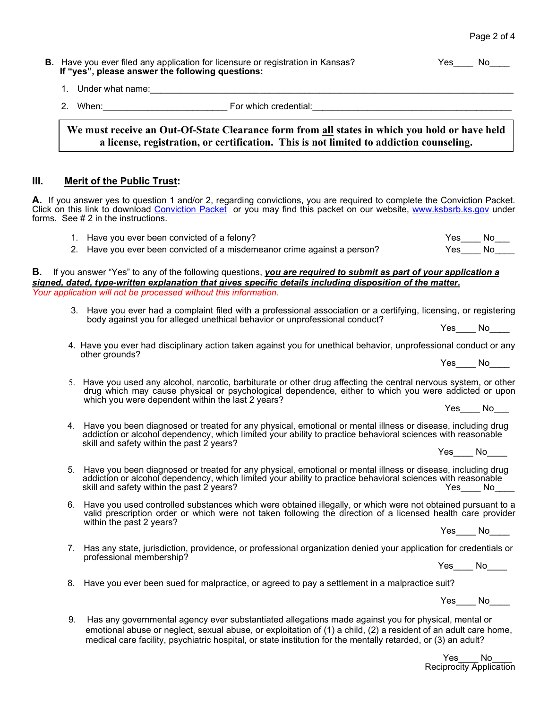| <b>B.</b> Have you ever filed any application for licensure or registration in Kansas?<br>If "yes", please answer the following questions: | Yes | No |
|--------------------------------------------------------------------------------------------------------------------------------------------|-----|----|
| Under what name:                                                                                                                           |     |    |

| ⌒  | $\overline{\phantom{0}}$<br>הור<br>M |  |
|----|--------------------------------------|--|
| -- | . .<br>. .                           |  |

**We must receive an Out-Of-State Clearance form from all states in which you hold or have held a license, registration, or certification. This is not limited to addiction counseling.** 

#### **III. Merit of the Public Trust:**

**A.** If you answer yes to question 1 and/or 2, regarding convictions, you are required to complete the Conviction Packet. Click on this link to download [Conviction Packet](https://ksbsrb.ks.gov/docs/default-source/forms/general/conviction-pkt-8-2019.pdf?sfvrsn=c1528d85_4) or you may find this packet on our website, [www.ksbsrb.ks.gov](http://www.ksbsrb.ks.gov/) under forms. See # 2 in the instructions.

1. Have you ever been convicted of a felony? The state of the state of the state of the No

2. Have you ever been convicted of a misdemeanor crime against a person? Yes No

**B.** If you answer "Yes" to any of the following questions, *you are required to submit as part of your application a signed, dated, type-written explanation that gives specific details including disposition of the matter.* *Your application will not be processed without this information.*

- 3. Have you ever had a complaint filed with a professional association or a certifying, licensing, or registering body against you for alleged unethical behavior or unprofessional conduct?
	-
- 4. Have you ever had disciplinary action taken against you for unethical behavior, unprofessional conduct or any other grounds?
- 5. Have you used any alcohol, narcotic, barbiturate or other drug affecting the central nervous system, or other drug which may cause physical or psychological dependence, either to which you were addicted or upon which you were dependent within the last 2 years? Yes\_\_\_\_ No\_\_\_
- 4. Have you been diagnosed or treated for any physical, emotional or mental illness or disease, including drug<br>addiction or alcohol dependency, which limited your ability to practice behavioral sciences with reasonable<br>ski
- 5. Have you been diagnosed or treated for any physical, emotional or mental illness or disease, including drug<br>addiction or alcohol dependency, which limited your ability to practice behavioral sciences with reasonable<br>ski
- 6. Have you used controlled substances which were obtained illegally, or which were not obtained pursuant to a valid prescription order or which were not taken following the direction of a licensed health care provider<br>within the past 2 years? within the past 2 years? Yes\_\_\_\_ No\_\_\_\_
- 7. Has any state, jurisdiction, providence, or professional organization denied your application for credentials or professional membership?
	-
- Yes\_\_\_\_ No\_\_\_\_ 8. Have you ever been sued for malpractice, or agreed to pay a settlement in a malpractice suit?

Yes No

9. Has any governmental agency ever substantiated allegations made against you for physical, mental or emotional abuse or neglect, sexual abuse, or exploitation of (1) a child, (2) a resident of an adult care home, medical care facility, psychiatric hospital, or state institution for the mentally retarded, or (3) an adult?

> Yes\_\_\_\_ No Reciprocity Application

Yes\_\_\_\_ No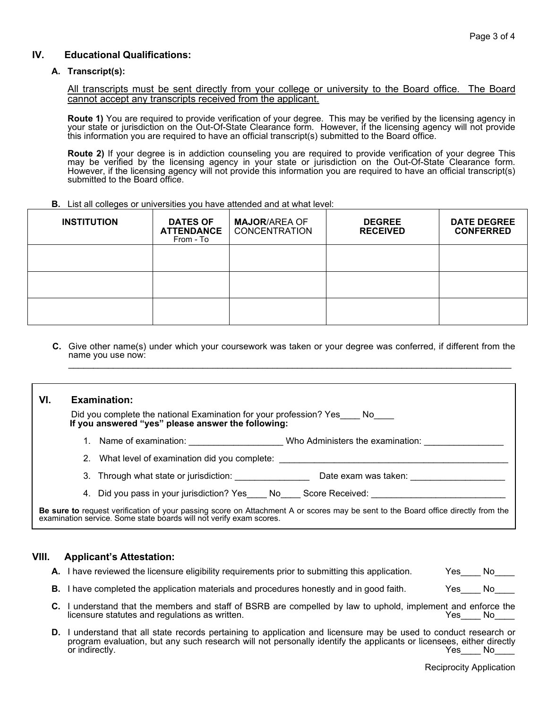#### **IV. Educational Qualifications:**

#### **A. Transcript(s):**

All transcripts must be sent directly from your college or university to the Board office. The Board cannot accept any transcripts received from the applicant.

**Route 1)** You are required to provide verification of your degree. This may be verified by the licensing agency in your state or jurisdiction on the Out-Of-State Clearance form. However, if the licensing agency will not provide this information you are required to have an official transcript(s) submitted to the Board office.

**Route 2)** If your degree is in addiction counseling you are required to provide verification of your degree This may be verified by the licensing agency in your state or jurisdiction on the Out-Of-State Clearance form. However, if the licensing agency will not provide this information you are required to have an official transcript(s) submitted to the Board office.

**B.** List all colleges or universities you have attended and at what level:

| <b>INSTITUTION</b> | <b>DATES OF</b><br><b>ATTENDANCE</b><br>From - To | <b>MAJOR/AREA OF</b><br><b>CONCENTRATION</b> | <b>DEGREE</b><br><b>RECEIVED</b> | <b>DATE DEGREE</b><br><b>CONFERRED</b> |
|--------------------|---------------------------------------------------|----------------------------------------------|----------------------------------|----------------------------------------|
|                    |                                                   |                                              |                                  |                                        |
|                    |                                                   |                                              |                                  |                                        |
|                    |                                                   |                                              |                                  |                                        |

**C.** Give other name(s) under which your coursework was taken or your degree was conferred, if different from the name you use now: \_\_\_\_\_\_\_\_\_\_\_\_\_\_\_\_\_\_\_\_\_\_\_\_\_\_\_\_\_\_\_\_\_\_\_\_\_\_\_\_\_\_\_\_\_\_\_\_\_\_\_\_\_\_\_\_\_\_\_\_\_\_\_\_\_\_\_\_\_\_\_\_\_\_\_\_\_\_\_\_\_\_\_\_\_\_\_\_\_

#### **VI. Examination:**

Did you complete the national Examination for your profession? Yes No **If you answered "yes" please answer the following:** 

- 1. Name of examination:  $\blacksquare$  Who Administers the examination:
- 2. What level of examination did you complete:
- 3. Through what state or jurisdiction: \_\_\_\_\_\_\_\_\_\_\_\_\_\_\_ Date exam was taken: \_\_\_\_\_\_\_\_\_\_\_\_\_\_\_\_\_\_\_
- 4. Did you pass in your jurisdiction? Yes No. Score Received:

ŗ **Be sure to** request verification of your passing score on Attachment A or scores may be sent to the Board office directly from the examination service. Some state boards will not verify exam scores.

#### **VIII. Applicant's Attestation:**

- **A.** I have reviewed the licensure eligibility requirements prior to submitting this application. Yes\_\_\_\_ No\_\_\_
- **B.** I have completed the application materials and procedures honestly and in good faith. Yes No
- **C.** I understand that the members and staff of BSRB are compelled by law to uphold, implement and enforce the licensure statutes and regulations as written.
- **D.** I understand that all state records pertaining to application and licensure may be used to conduct research or program evaluation, but any such research will not personally identify the applicants or licensees, either directly<br>Tes Mo Yes\_\_\_\_ No\_\_\_

Reciprocity Application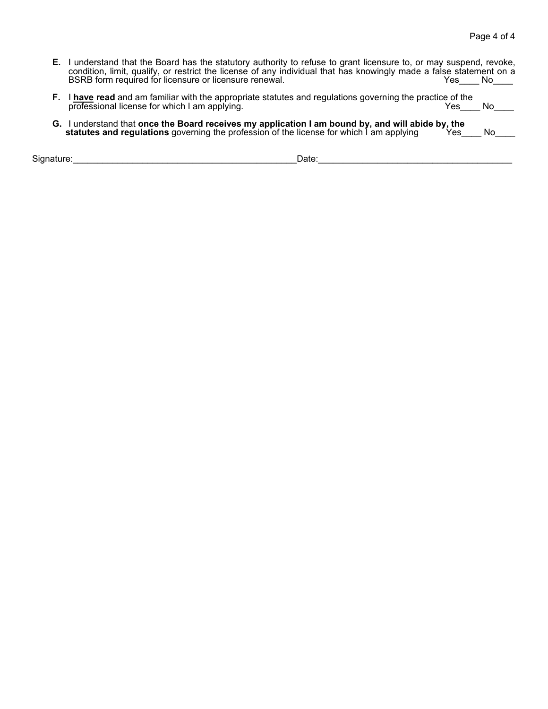| <b>E.</b> I understand that the Board has the statutory authority to refuse to grant licensure to, or may suspend, revoke, |      |     |
|----------------------------------------------------------------------------------------------------------------------------|------|-----|
| condition, limit, qualify, or restrict the license of any individual that has knowingly made a false statement on a        |      |     |
| BSRB form required for licensure or licensure renewal.                                                                     | Yes. | -No |

- **F.** I **have read** and am familiar with the appropriate statutes and regulations governing the practice of the professional license for which I am applying. Yes\_\_\_\_ No\_\_\_\_
- G. I understand that once the Board receives my application I am bound by, and will abide by, the<br>statutes and regulations governing the profession of the license for which I am applying Yes\_\_\_\_ No\_\_\_\_

Signature:\_\_\_\_\_\_\_\_\_\_\_\_\_\_\_\_\_\_\_\_\_\_\_\_\_\_\_\_\_\_\_\_\_\_\_\_\_\_\_\_\_\_\_\_\_Date:\_\_\_\_\_\_\_\_\_\_\_\_\_\_\_\_\_\_\_\_\_\_\_\_\_\_\_\_\_\_\_\_\_\_\_\_\_\_\_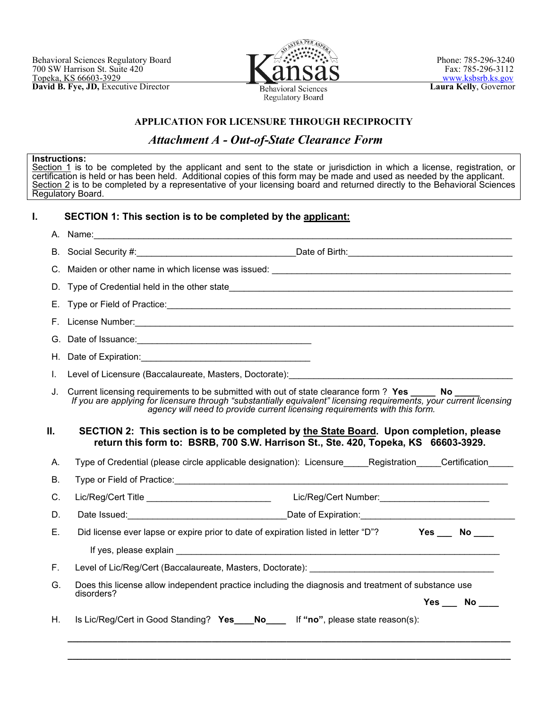

**Regulatory Board** 

### **APPLICATION FOR LICENSURE THROUGH RECIPROCITY**

## *Attachment A - Out-of-State Clearance Form*

#### **Instructions:**

<u>Section 1</u> is to be completed by the applicant and sent to the state or jurisdiction in which a license, registration, or certification is held or has been held. Additional copies of this form may be made and used as needed by the applicant. <u>Section 2</u> is to be completed by a representative of your licensing board and returned directly to the Behavioral Sciences Regulatory Board.

#### **I. SECTION 1: This section is to be completed by the applicant:**

|    | A. Name:                                                                                                                                                                                                                                                                                     |
|----|----------------------------------------------------------------------------------------------------------------------------------------------------------------------------------------------------------------------------------------------------------------------------------------------|
|    |                                                                                                                                                                                                                                                                                              |
|    |                                                                                                                                                                                                                                                                                              |
|    |                                                                                                                                                                                                                                                                                              |
|    |                                                                                                                                                                                                                                                                                              |
|    |                                                                                                                                                                                                                                                                                              |
|    |                                                                                                                                                                                                                                                                                              |
|    |                                                                                                                                                                                                                                                                                              |
| L. | Level of Licensure (Baccalaureate, Masters, Doctorate): [2010] [2010] [2010] [2010] [2010] [2010] [2010] [2010                                                                                                                                                                               |
| J. | Current licensing requirements to be submitted with out of state clearance form? Yes No<br>If you are applying for licensure through "substantially equivalent" licensing requirements, your current licensing<br>agency will need to provide current licensing requirements with this form. |
| П. | SECTION 2: This section is to be completed by the State Board. Upon completion, please<br>return this form to: BSRB, 700 S.W. Harrison St., Ste. 420, Topeka, KS 66603-3929.                                                                                                                 |
| А. | Type of Credential (please circle applicable designation): Licensure Registration Certification                                                                                                                                                                                              |
| В. |                                                                                                                                                                                                                                                                                              |
| C. | Lic/Reg/Cert Number:____________________________<br>Lic/Reg/Cert Title _____________________________                                                                                                                                                                                         |
| D. |                                                                                                                                                                                                                                                                                              |
| Е. | $Yes$ No ___<br>Did license ever lapse or expire prior to date of expiration listed in letter "D"?                                                                                                                                                                                           |
|    |                                                                                                                                                                                                                                                                                              |
| F. |                                                                                                                                                                                                                                                                                              |
| G. | Does this license allow independent practice including the diagnosis and treatment of substance use<br>disorders?<br>$Yes$ No $\_\_$                                                                                                                                                         |
| Η. | Is Lic/Reg/Cert in Good Standing? Yes___No____ If "no", please state reason(s):                                                                                                                                                                                                              |
|    |                                                                                                                                                                                                                                                                                              |

**\_\_\_\_\_\_\_\_\_\_\_\_\_\_\_\_\_\_\_\_\_\_\_\_\_\_\_\_\_\_\_\_\_\_\_\_\_\_\_\_\_\_\_\_\_\_\_\_\_\_\_\_\_\_\_\_\_\_\_\_\_\_\_\_\_\_\_\_\_\_\_\_\_\_\_\_\_\_\_\_\_\_\_\_\_\_\_\_\_**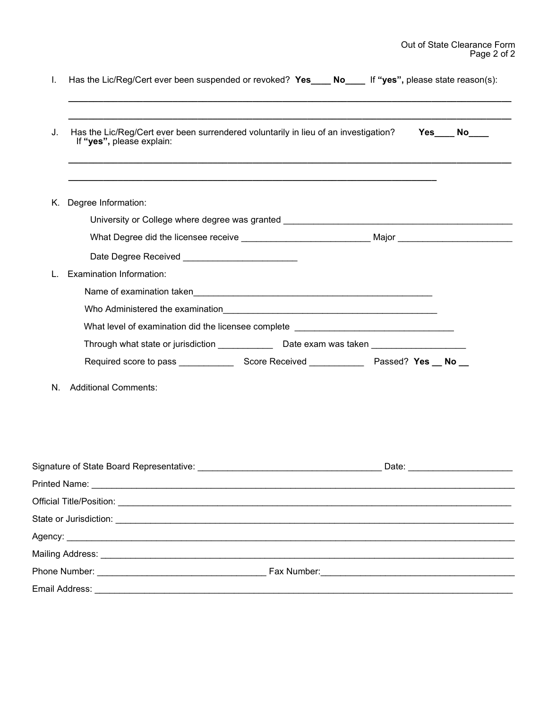|    | Has the Lic/Reg/Cert ever been suspended or revoked? Yes___ No___ If "yes", please state reason(s):              |  |  |                    |  |  |  |
|----|------------------------------------------------------------------------------------------------------------------|--|--|--------------------|--|--|--|
| J. | Has the Lic/Reg/Cert ever been surrendered voluntarily in lieu of an investigation?<br>If "yes", please explain: |  |  | $Yes$ No $\_\_$    |  |  |  |
| K. | Degree Information:                                                                                              |  |  |                    |  |  |  |
|    | University or College where degree was granted _________________________________                                 |  |  |                    |  |  |  |
|    |                                                                                                                  |  |  |                    |  |  |  |
|    |                                                                                                                  |  |  |                    |  |  |  |
|    | <b>Examination Information:</b>                                                                                  |  |  |                    |  |  |  |
|    |                                                                                                                  |  |  |                    |  |  |  |
|    |                                                                                                                  |  |  |                    |  |  |  |
|    | What level of examination did the licensee complete ____________________________                                 |  |  |                    |  |  |  |
|    | Through what state or jurisdiction ________________Date exam was taken _____________________________             |  |  |                    |  |  |  |
|    |                                                                                                                  |  |  |                    |  |  |  |
| N. | <b>Additional Comments:</b>                                                                                      |  |  |                    |  |  |  |
|    |                                                                                                                  |  |  | Date: <u>Date:</u> |  |  |  |
|    |                                                                                                                  |  |  |                    |  |  |  |
|    |                                                                                                                  |  |  |                    |  |  |  |
|    |                                                                                                                  |  |  |                    |  |  |  |
|    |                                                                                                                  |  |  |                    |  |  |  |
|    |                                                                                                                  |  |  |                    |  |  |  |
|    |                                                                                                                  |  |  |                    |  |  |  |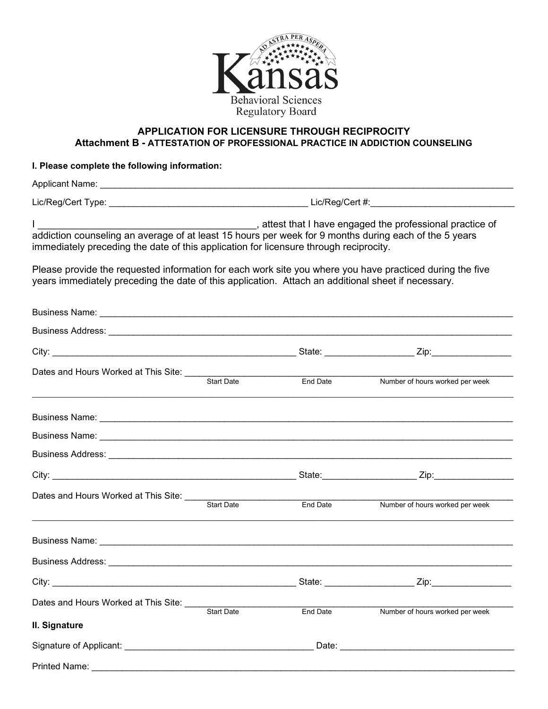

## **APPLICATION FOR LICENSURE THROUGH RECIPROCITY Attachment B - ATTESTATION OF PROFESSIONAL PRACTICE IN ADDICTION COUNSELING**

## **I. Please complete the following information:**

| L<br>attest that I have engaged the professional practice of<br>addiction counseling an average of at least 15 hours per week for 9 months during each of the 5 years<br>immediately preceding the date of this application for licensure through reciprocity. |                   |          |                                 |  |  |  |
|----------------------------------------------------------------------------------------------------------------------------------------------------------------------------------------------------------------------------------------------------------------|-------------------|----------|---------------------------------|--|--|--|
| Please provide the requested information for each work site you where you have practiced during the five<br>years immediately preceding the date of this application. Attach an additional sheet if necessary.                                                 |                   |          |                                 |  |  |  |
|                                                                                                                                                                                                                                                                |                   |          |                                 |  |  |  |
|                                                                                                                                                                                                                                                                |                   |          |                                 |  |  |  |
|                                                                                                                                                                                                                                                                |                   |          |                                 |  |  |  |
|                                                                                                                                                                                                                                                                | <b>Start Date</b> | End Date | Number of hours worked per week |  |  |  |
|                                                                                                                                                                                                                                                                |                   |          |                                 |  |  |  |
|                                                                                                                                                                                                                                                                |                   |          |                                 |  |  |  |
|                                                                                                                                                                                                                                                                |                   |          |                                 |  |  |  |
|                                                                                                                                                                                                                                                                |                   |          |                                 |  |  |  |
| Dates and Hours Worked at This Site: Start Date                                                                                                                                                                                                                |                   | End Date | Number of hours worked per week |  |  |  |
|                                                                                                                                                                                                                                                                |                   |          |                                 |  |  |  |
|                                                                                                                                                                                                                                                                |                   |          |                                 |  |  |  |
| City:                                                                                                                                                                                                                                                          |                   |          | Zip:                            |  |  |  |
| Dates and Hours Worked at This Site:                                                                                                                                                                                                                           | <b>Start Date</b> | End Date | Number of hours worked per week |  |  |  |
| II. Signature                                                                                                                                                                                                                                                  |                   |          |                                 |  |  |  |
|                                                                                                                                                                                                                                                                |                   |          |                                 |  |  |  |
| Printed Name:                                                                                                                                                                                                                                                  |                   |          |                                 |  |  |  |